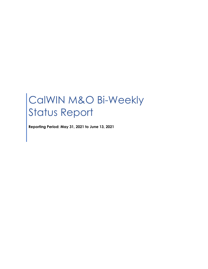# CalWIN M&O Bi-Weekly Status Report

**Reporting Period: May 31, 2021 to June 13, 2021**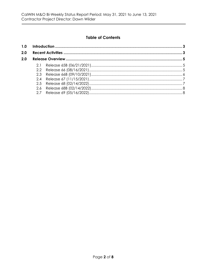## **Table of Contents**

| 2.0 |  |  |  |
|-----|--|--|--|
| 2.0 |  |  |  |
|     |  |  |  |
|     |  |  |  |
|     |  |  |  |
|     |  |  |  |
|     |  |  |  |
|     |  |  |  |
|     |  |  |  |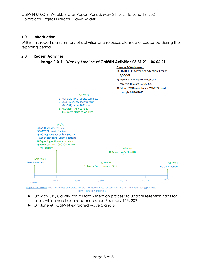## <span id="page-2-0"></span>**1.0 Introduction**

Within this report is a summary of activities and releases planned or executed during the reporting period.

### <span id="page-2-1"></span>**2.0 Recent Activities**



Legend for Colors: Blue - Activities complete, Purple - Tentative date for activities, Black - Activities being planned, Green - Routine activities

- ► On May 31st, CalWIN ran a Data Retention process to update retention flags for cases which had been reopened since February 15th, 2021
- ► On June 6th, CalWIN extracted wave 5 and 6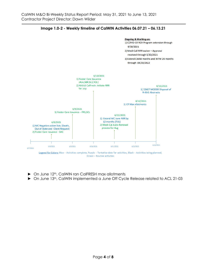

**Image 1.0-2 - Weekly timeline of CalWIN Activities 06.07.21 – 06.13.21**

► On June 12th, CalWIN ran CalFRESH max allotments

► On June 13th, CalWIN implemented a June Off Cycle Release related to ACL 21-03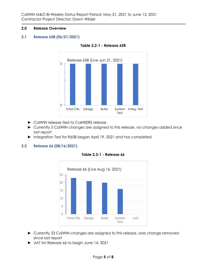#### <span id="page-4-0"></span>**2.0 Release Overview**

#### <span id="page-4-1"></span>**2.1 Release 65B (06/21/2021)**



**Table 2.2-1 - Release 65B**

- ► CalWIN release tied to CalHEERS release
- ► Currently 5 CalWIN changes are assigned to this release, no changes added since last report
- ► Integration Test for R65B began April 19, 2021 and has completed

#### <span id="page-4-2"></span>**2.2 Release 66 (08/16/2021)**



**Table 2.3-1 - Release 66**

- ► Currently 23 CalWIN changes are assigned to this release, one change removed since last report
- ► UAT for Release 66 to begin June 14, 2021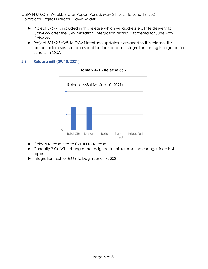- ► Project 57677 is included in this release which will address eICT file delivery to CalSAWS after the C-IV migration. Integration testing is targeted for June with CalSAWS.
- ► Project 58169 SAWS to OCAT Interface updates is assigned to this release, this project addresses interface specification updates. Integration testing is targeted for June with OCAT.

## <span id="page-5-0"></span>**2.3 Release 66B (09/10/2021)**



#### **Table 2.4-1 - Release 66B**

- ► CalWIN release tied to CalHEERS release
- ► Currently 3 CalWIN changes are assigned to this release, no change since last report
- ► Integration Test for R66B to begin June 14, 2021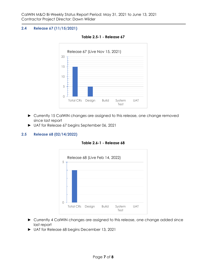## <span id="page-6-0"></span>**2.4 Release 67 (11/15/2021)**



**Table 2.5-1 - Release 67**

- ► Currently 15 CalWIN changes are assigned to this release, one change removed since last report
- ► UAT for Release 67 begins September 06, 2021

## <span id="page-6-1"></span>**2.5 Release 68 (02/14/2022)**

**Table 2.6-1 - Release 68**



- ► Currently 4 CalWIN changes are assigned to this release, one change added since last report
- ► UAT for Release 68 begins December 13, 2021